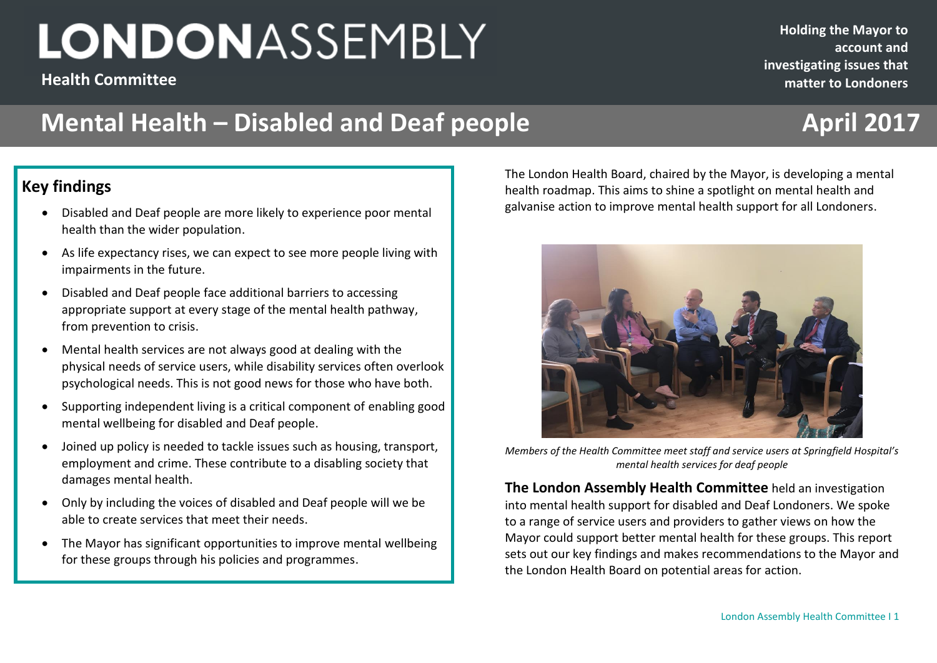**Health Committee**

**Holding the Mayor to account and investigating issues that matter to Londoners**

## **Mental Health – Disabled and Deaf people <b>April 2017**

### **Key findings**

- Disabled and Deaf people are more likely to experience poor mental health than the wider population.
- As life expectancy rises, we can expect to see more people living with impairments in the future.
- Disabled and Deaf people face additional barriers to accessing appropriate support at every stage of the mental health pathway, from prevention to crisis.
- Mental health services are not always good at dealing with the physical needs of service users, while disability services often overlook psychological needs. This is not good news for those who have both.
- Supporting independent living is a critical component of enabling good mental wellbeing for disabled and Deaf people.
- Joined up policy is needed to tackle issues such as housing, transport, employment and crime. These contribute to a disabling society that damages mental health.
- Only by including the voices of disabled and Deaf people will we be able to create services that meet their needs.
- The Mayor has significant opportunities to improve mental wellbeing for these groups through his policies and programmes.

**December 2016**<br> **December 2016**<br> **December 2016**<br> **December 2016**<br> **December 2016**<br> **December 2016**<br> **December 2016** The London Health Board, chaired by the Mayor, is developing a mental health roadmap. This aims to shine a spotlight on mental health and galvanise action to improve mental health support for all Londoners.



*Members of the Health Committee meet staff and service users at Springfield Hospital's mental health services for deaf people*

**The London Assembly Health Committee** held an investigation into mental health support for disabled and Deaf Londoners. We spoke to a range of service users and providers to gather views on how the Mayor could support better mental health for these groups. This report sets out our key findings and makes recommendations to the Mayor and the London Health Board on potential areas for action.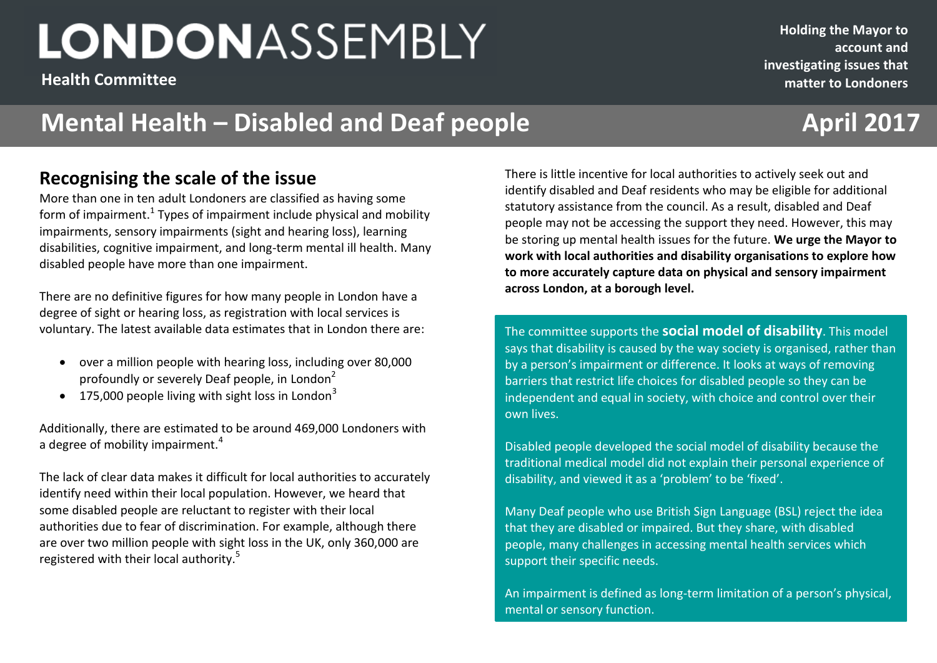**Health Committee**

## **Mental Health – Disabled and Deaf people <b>April 2017**

### **Recognising the scale of the issue**

More than one in ten adult Londoners are classified as having some form of impairment.<sup>1</sup> Types of impairment include physical and mobility impairments, sensory impairments (sight and hearing loss), learning disabilities, cognitive impairment, and long-term mental ill health. Many disabled people have more than one impairment.

There are no definitive figures for how many people in London have a degree of sight or hearing loss, as registration with local services is voluntary. The latest available data estimates that in London there are:

- over a million people with hearing loss, including over 80,000 profoundly or severely Deaf people, in London<sup>2</sup>
- $\bullet$  175,000 people living with sight loss in London<sup>3</sup>

Additionally, there are estimated to be around 469,000 Londoners with a degree of mobility impairment.<sup>4</sup>

The lack of clear data makes it difficult for local authorities to accurately identify need within their local population. However, we heard that some disabled people are reluctant to register with their local authorities due to fear of discrimination. For example, although there are over two million people with sight loss in the UK, only 360,000 are registered with their local authority.<sup>5</sup>

**December 2016**<br>**December 2016 2016 2016 2016 2016 2016 2016 2016 2016 2016 2016 2016 2016 2016 2016 2016 2016 2016 2016 2016 2016 2016 2016 2016 2016 2016 2016 2016** There is little incentive for local authorities to actively seek out and identify disabled and Deaf residents who may be eligible for additional statutory assistance from the council. As a result, disabled and Deaf people may not be accessing the support they need. However, this may be storing up mental health issues for the future. **We urge the Mayor to work with local authorities and disability organisations to explore how to more accurately capture data on physical and sensory impairment across London, at a borough level.** 

> The committee supports the **social model of disability**. This model says that disability is caused by the way society is organised, rather than by a person's impairment or difference. It looks at ways of removing barriers that restrict life choices for disabled people so they can be independent and equal in society, with choice and control over their own lives.

Disabled people developed the social model of disability because the traditional medical model did not explain their personal experience of disability, and viewed it as a 'problem' to be 'fixed'.

Many Deaf people who use British Sign Language (BSL) reject the idea that they are disabled or impaired. But they share, with disabled people, many challenges in accessing mental health services which support their specific needs.

London Assembly Health Committee I 2 An impairment is defined as long-term limitation of a person's physical, mental or sensory function.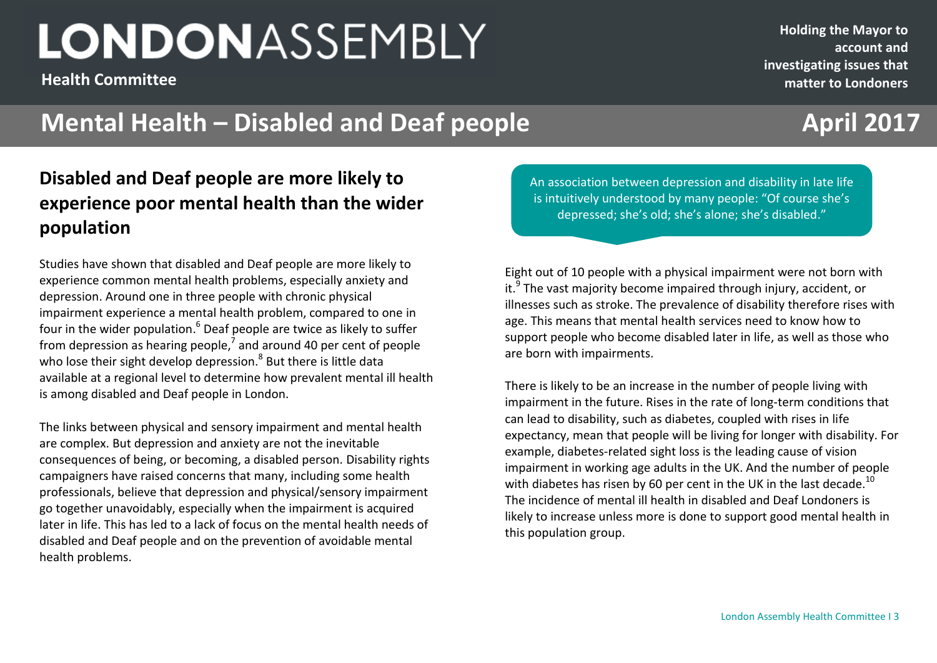**Health Committee**

## **Mental Health – Disabled and Deaf people <b>April 2017**

### **December 2016 2201620162016 Disabled and Deaf people are more likely to experience poor mental health than the wider population**

Studies have shown that disabled and Deaf people are more likely to experience common mental health problems, especially anxiety and depression. Around one in three people with chronic physical impairment experience a mental health problem, compared to one in four in the wider population.<sup>6</sup> Deaf people are twice as likely to suffer from depression as hearing people,<sup>7</sup> and around 40 per cent of people who lose their sight develop depression.<sup>8</sup> But there is little data available at a regional level to determine how prevalent mental ill health is among disabled and Deaf people in London.

The links between physical and sensory impairment and mental health are complex. But depression and anxiety are not the inevitable consequences of being, or becoming, a disabled person. Disability rights campaigners have raised concerns that many, including some health professionals, believe that depression and physical/sensory impairment go together unavoidably, especially when the impairment is acquired later in life. This has led to a lack of focus on the mental health needs of disabled and Deaf people and on the prevention of avoidable mental health problems.

An association between depression and disability in late life is intuitively understood by many people: "Of course she's depressed; she's old; she's alone; she's disabled."

Eight out of 10 people with a physical impairment were not born with it.<sup>9</sup> The vast majority become impaired through injury, accident, or illnesses such as stroke. The prevalence of disability therefore rises with age. This means that mental health services need to know how to support people who become disabled later in life, as well as those who are born with impairments.

There is likely to be an increase in the number of people living with impairment in the future. Rises in the rate of long-term conditions that can lead to disability, such as diabetes, coupled with rises in life expectancy, mean that people will be living for longer with disability. For example, diabetes-related sight loss is the leading cause of vision impairment in working age adults in the UK. And the number of people with diabetes has risen by 60 per cent in the UK in the last decade.<sup>10</sup> The incidence of mental ill health in disabled and Deaf Londoners is likely to increase unless more is done to support good mental health in this population group.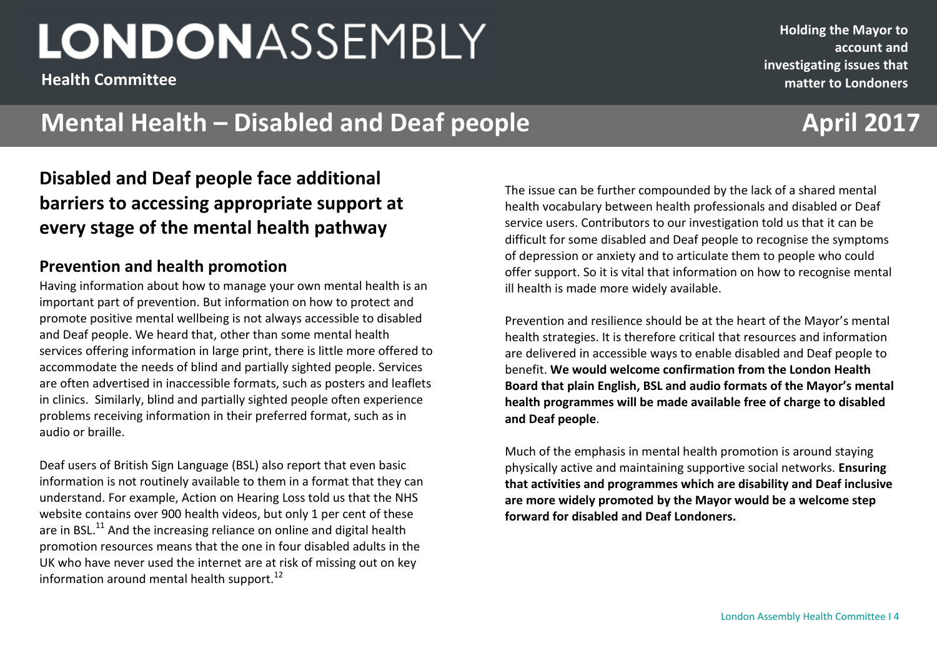**Health Committee**

#### **Holding the Mayor to account and investigating issues that matter to Londoners**

### **Mental Health – Disabled and Deaf people <b>April 2017**

### **December 2016 2201620162016 Disabled and Deaf people face additional barriers to accessing appropriate support at every stage of the mental health pathway**

### **Prevention and health promotion**

Having information about how to manage your own mental health is an important part of prevention. But information on how to protect and promote positive mental wellbeing is not always accessible to disabled and Deaf people. We heard that, other than some mental health services offering information in large print, there is little more offered to accommodate the needs of blind and partially sighted people. Services are often advertised in inaccessible formats, such as posters and leaflets in clinics. Similarly, blind and partially sighted people often experience problems receiving information in their preferred format, such as in audio or braille.

Deaf users of British Sign Language (BSL) also report that even basic information is not routinely available to them in a format that they can understand. For example, Action on Hearing Loss told us that the NHS website contains over 900 health videos, but only 1 per cent of these are in BSL.<sup>11</sup> And the increasing reliance on online and digital health promotion resources means that the one in four disabled adults in the UK who have never used the internet are at risk of missing out on key information around mental health support. $^{12}$ 

The issue can be further compounded by the lack of a shared mental health vocabulary between health professionals and disabled or Deaf service users. Contributors to our investigation told us that it can be difficult for some disabled and Deaf people to recognise the symptoms of depression or anxiety and to articulate them to people who could offer support. So it is vital that information on how to recognise mental ill health is made more widely available.

Prevention and resilience should be at the heart of the Mayor's mental health strategies. It is therefore critical that resources and information are delivered in accessible ways to enable disabled and Deaf people to benefit. **We would welcome confirmation from the London Health Board that plain English, BSL and audio formats of the Mayor's mental health programmes will be made available free of charge to disabled and Deaf people**.

Much of the emphasis in mental health promotion is around staying physically active and maintaining supportive social networks. **Ensuring that activities and programmes which are disability and Deaf inclusive are more widely promoted by the Mayor would be a welcome step forward for disabled and Deaf Londoners.**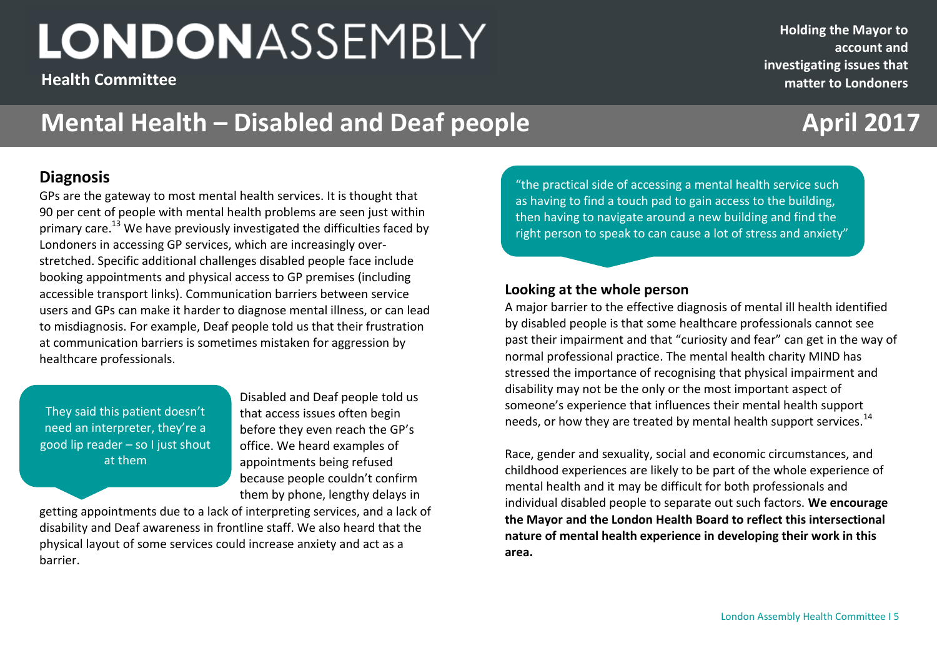**Health Committee**

## **Mental Health – Disabled and Deaf people <b>April 2017**

#### **Diagnosis**

GPs are the gateway to most mental health services. It is thought that 90 per cent of people with mental health problems are seen just within primary care.<sup>13</sup> We have previously investigated the difficulties faced by Londoners in accessing GP services, which are increasingly overstretched. Specific additional challenges disabled people face include booking appointments and physical access to GP premises (including accessible transport links). Communication barriers between service users and GPs can make it harder to diagnose mental illness, or can lead to misdiagnosis. For example, Deaf people told us that their frustration at communication barriers is sometimes mistaken for aggression by healthcare professionals.

They said this patient doesn't need an interpreter, they're a good lip reader – so I just shout at them

Disabled and Deaf people told us that access issues often begin before they even reach the GP's office. We heard examples of appointments being refused because people couldn't confirm them by phone, lengthy delays in

getting appointments due to a lack of interpreting services, and a lack of disability and Deaf awareness in frontline staff. We also heard that the physical layout of some services could increase anxiety and act as a barrier.

"the practical side of accessing a mental health service such as having to find a touch pad to gain access to the building, then having to navigate around a new building and find the right person to speak to can cause a lot of stress and anxiety"

#### **Looking at the whole person**

**December 2016 2201620162016**

A major barrier to the effective diagnosis of mental ill health identified by disabled people is that some healthcare professionals cannot see past their impairment and that "curiosity and fear" can get in the way of normal professional practice. The mental health charity MIND has stressed the importance of recognising that physical impairment and disability may not be the only or the most important aspect of someone's experience that influences their mental health support needs, or how they are treated by mental health support services.<sup>14</sup>

Race, gender and sexuality, social and economic circumstances, and childhood experiences are likely to be part of the whole experience of mental health and it may be difficult for both professionals and individual disabled people to separate out such factors. **We encourage the Mayor and the London Health Board to reflect this intersectional nature of mental health experience in developing their work in this area.**

London Assembly Health Committee I 5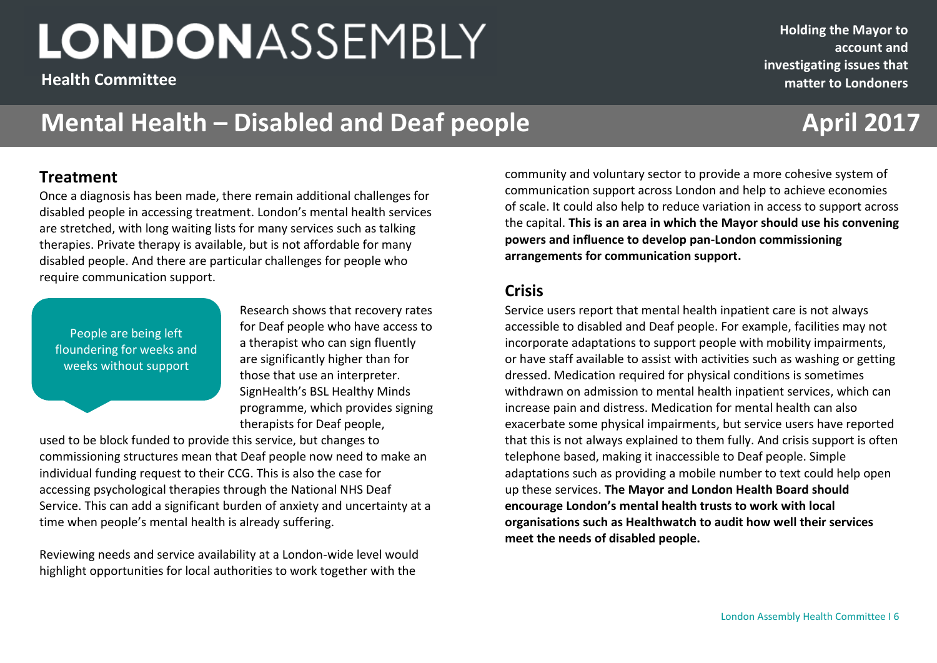**Health Committee**

**Holding the Mayor to account and investigating issues that matter to Londoners**

## **Mental Health – Disabled and Deaf people <b>April 2017**

#### **Treatment**

Once a diagnosis has been made, there remain additional challenges for disabled people in accessing treatment. London's mental health services are stretched, with long waiting lists for many services such as talking therapies. Private therapy is available, but is not affordable for many disabled people. And there are particular challenges for people who require communication support.

People are being left floundering for weeks and weeks without support

Research shows that recovery rates for Deaf people who have access to a therapist who can sign fluently are significantly higher than for those that use an interpreter. SignHealth's BSL Healthy Minds programme, which provides signing therapists for Deaf people,

used to be block funded to provide this service, but changes to commissioning structures mean that Deaf people now need to make an individual funding request to their CCG. This is also the case for accessing psychological therapies through the National NHS Deaf Service. This can add a significant burden of anxiety and uncertainty at a time when people's mental health is already suffering.

Reviewing needs and service availability at a London-wide level would highlight opportunities for local authorities to work together with the

**December 2016 2016 22016 22016** community and voluntary sector to provide a more cohesive system of communication support across London and help to achieve economies of scale. It could also help to reduce variation in access to support across the capital. **This is an area in which the Mayor should use his convening powers and influence to develop pan-London commissioning arrangements for communication support.**

#### **Crisis**

Service users report that mental health inpatient care is not always accessible to disabled and Deaf people. For example, facilities may not incorporate adaptations to support people with mobility impairments, or have staff available to assist with activities such as washing or getting dressed. Medication required for physical conditions is sometimes withdrawn on admission to mental health inpatient services, which can increase pain and distress. Medication for mental health can also exacerbate some physical impairments, but service users have reported that this is not always explained to them fully. And crisis support is often telephone based, making it inaccessible to Deaf people. Simple adaptations such as providing a mobile number to text could help open up these services. **The Mayor and London Health Board should encourage London's mental health trusts to work with local organisations such as Healthwatch to audit how well their services meet the needs of disabled people.**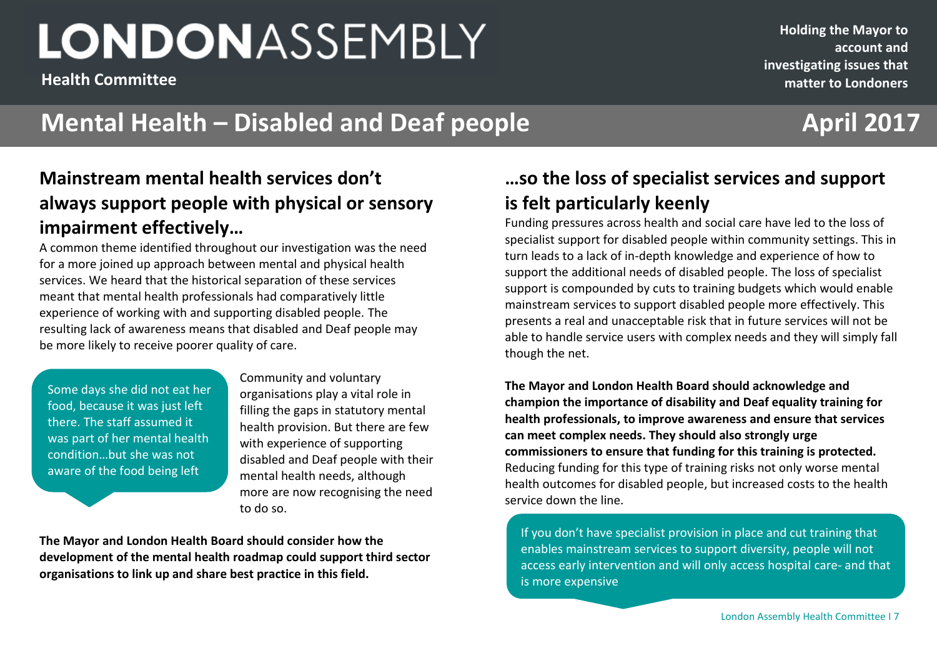**Health Committee**

**impairment effectively…**

condition…but she was not aware of the food being left

in front of her

## **Mental Health – Disabled and Deaf people <b>April 2017**

#### **December 2016 2201620162016 Mainstream mental health services don't always support people with physical or sensory …so the loss of specialist services and support is felt particularly keenly**

Funding pressures across health and social care have led to the loss of specialist support for disabled people within community settings. This in turn leads to a lack of in-depth knowledge and experience of how to support the additional needs of disabled people. The loss of specialist support is compounded by cuts to training budgets which would enable mainstream services to support disabled people more effectively. This presents a real and unacceptable risk that in future services will not be able to handle service users with complex needs and they will simply fall though the net.

**The Mayor and London Health Board should acknowledge and champion the importance of disability and Deaf equality training for health professionals, to improve awareness and ensure that services can meet complex needs. They should also strongly urge commissioners to ensure that funding for this training is protected.** Reducing funding for this type of training risks not only worse mental health outcomes for disabled people, but increased costs to the health service down the line.

If you don't have specialist provision in place and cut training that enables mainstream services to support diversity, people will not access early intervention and will only access hospital care- and that is more expensive

resulting lack of awareness means that disabled and Deaf people may be more likely to receive poorer quality of care. Some days she did not eat her food, because it was just left there. The staff assumed it was part of her mental health

Community and voluntary organisations play a vital role in filling the gaps in statutory mental health provision. But there are few with experience of supporting disabled and Deaf people with their mental health needs, although more are now recognising the need to do so.

**The Mayor and London Health Board should consider how the development of the mental health roadmap could support third sector organisations to link up and share best practice in this field.** 

A common theme identified throughout our investigation was the need for a more joined up approach between mental and physical health services. We heard that the historical separation of these services meant that mental health professionals had comparatively little experience of working with and supporting disabled people. The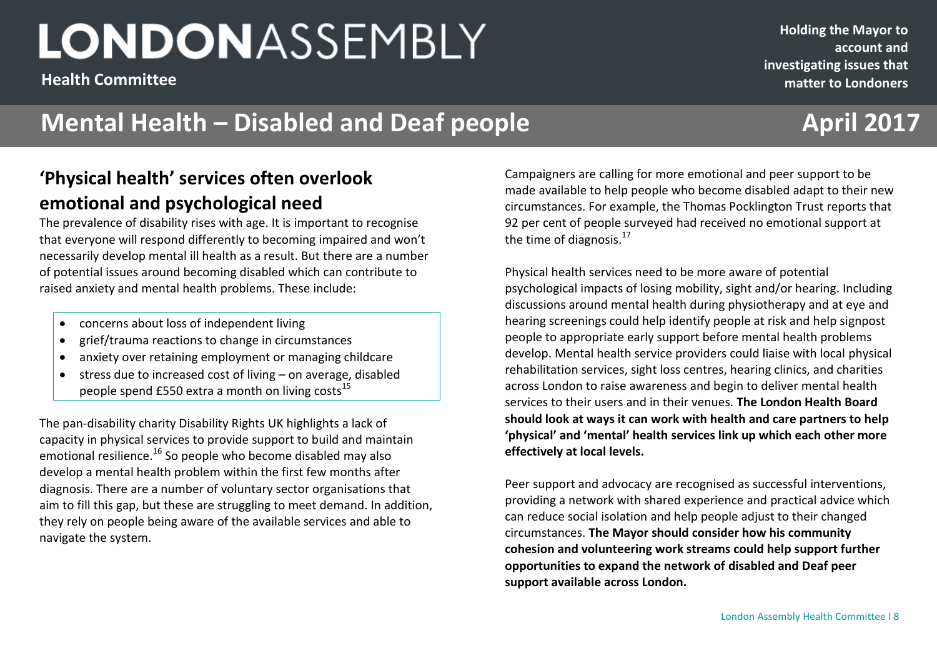**Health Committee**

#### **Holding the Mayor to account and investigating issues that matter to Londoners**

## **Mental Health – Disabled and Deaf people <b>April 2017**

### **'Physical health' services often overlook emotional and psychological need**

The prevalence of disability rises with age. It is important to recognise that everyone will respond differently to becoming impaired and won't necessarily develop mental ill health as a result. But there are a number of potential issues around becoming disabled which can contribute to raised anxiety and mental health problems. These include:

- concerns about loss of independent living
- grief/trauma reactions to change in circumstances
- anxiety over retaining employment or managing childcare
- stress due to increased cost of living on average, disabled people spend £550 extra a month on living costs<sup>15</sup>

The pan-disability charity Disability Rights UK highlights a lack of capacity in physical services to provide support to build and maintain emotional resilience. $16$  So people who become disabled may also develop a mental health problem within the first few months after diagnosis. There are a number of voluntary sector organisations that aim to fill this gap, but these are struggling to meet demand. In addition, they rely on people being aware of the available services and able to navigate the system.

**Demonstrate are calling for more emotional and no** Campaigners are calling for more emotional and peer support to be made available to help people who become disabled adapt to their new circumstances. For example, the Thomas Pocklington Trust reports that 92 per cent of people surveyed had received no emotional support at the time of diagnosis. $^{17}$ 

> Physical health services need to be more aware of potential psychological impacts of losing mobility, sight and/or hearing. Including discussions around mental health during physiotherapy and at eye and hearing screenings could help identify people at risk and help signpost people to appropriate early support before mental health problems develop. Mental health service providers could liaise with local physical rehabilitation services, sight loss centres, hearing clinics, and charities across London to raise awareness and begin to deliver mental health services to their users and in their venues. **The London Health Board should look at ways it can work with health and care partners to help 'physical' and 'mental' health services link up which each other more effectively at local levels.**

> Peer support and advocacy are recognised as successful interventions, providing a network with shared experience and practical advice which can reduce social isolation and help people adjust to their changed circumstances. **The Mayor should consider how his community cohesion and volunteering work streams could help support further opportunities to expand the network of disabled and Deaf peer support available across London.**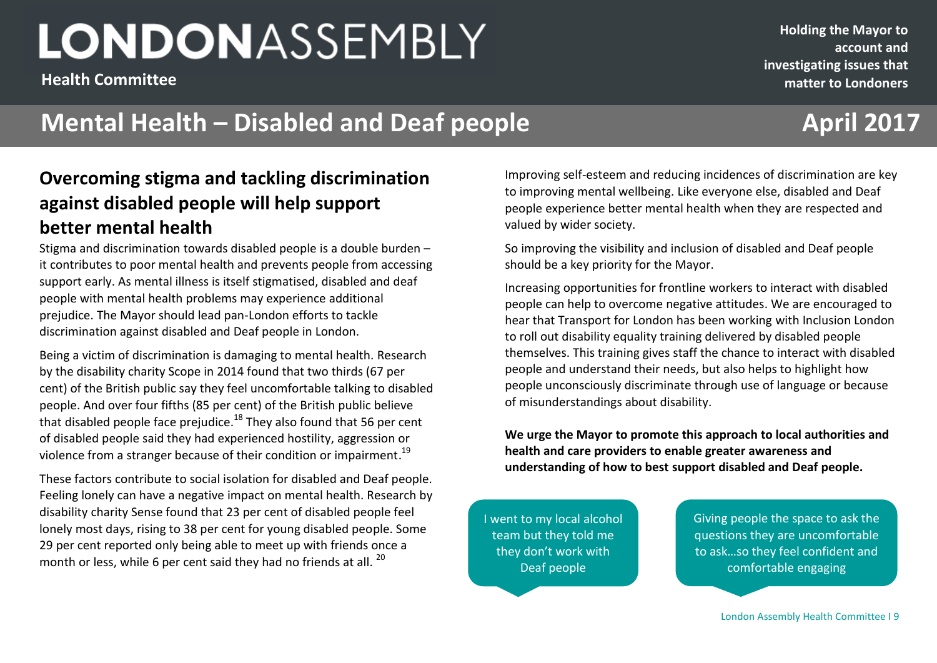**Health Committee**

#### **Holding the Mayor to account and investigating issues that matter to Londoners**

## **Mental Health – Disabled and Deaf people <b>April 2017**

### **Overcoming stigma and tackling discrimination against disabled people will help support better mental health**

Stigma and discrimination towards disabled people is a double burden – it contributes to poor mental health and prevents people from accessing support early. As mental illness is itself stigmatised, disabled and deaf people with mental health problems may experience additional prejudice. The Mayor should lead pan-London efforts to tackle discrimination against disabled and Deaf people in London.

Being a victim of discrimination is damaging to mental health. Research by the disability charity Scope in 2014 found that two thirds (67 per cent) of the British public say they feel uncomfortable talking to disabled people. And over four fifths (85 per cent) of the British public believe that disabled people face prejudice.<sup>18</sup> They also found that 56 per cent of disabled people said they had experienced hostility, aggression or violence from a stranger because of their condition or impairment.<sup>19</sup>

These factors contribute to social isolation for disabled and Deaf people. Feeling lonely can have a negative impact on mental health. Research by disability charity Sense found that 23 per cent of disabled people feel lonely most days, rising to 38 per cent for young disabled people. Some 29 per cent reported only being able to meet up with friends once a month or less, while 6 per cent said they had no friends at all.  $^{20}$ 

**December 2016 2201620162016** Improving self-esteem and reducing incidences of discrimination are key to improving mental wellbeing. Like everyone else, disabled and Deaf people experience better mental health when they are respected and valued by wider society.

> So improving the visibility and inclusion of disabled and Deaf people should be a key priority for the Mayor.

Increasing opportunities for frontline workers to interact with disabled people can help to overcome negative attitudes. We are encouraged to hear that Transport for London has been working with Inclusion London to roll out disability equality training delivered by disabled people themselves. This training gives staff the chance to interact with disabled people and understand their needs, but also helps to highlight how people unconsciously discriminate through use of language or because of misunderstandings about disability.

**We urge the Mayor to promote this approach to local authorities and health and care providers to enable greater awareness and understanding of how to best support disabled and Deaf people.**

I went to my local alcohol team but they told me they don't work with Deaf people

Giving people the space to ask the questions they are uncomfortable to ask…so they feel confident and comfortable engaging

London Assembly Health Committee I 9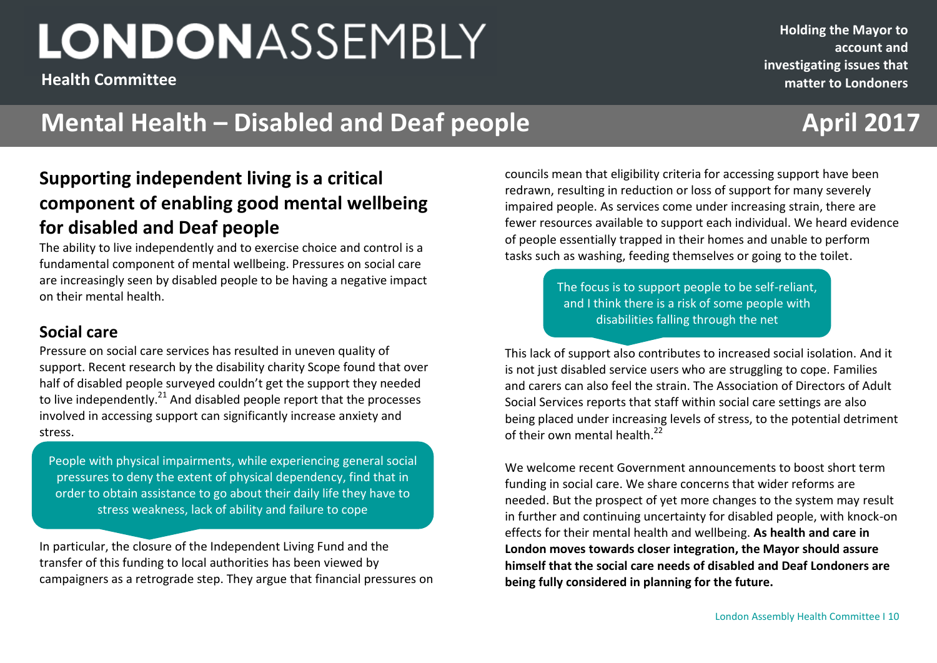**Health Committee**

**Holding the Mayor to account and investigating issues that matter to Londoners**

## **Mental Health – Disabled and Deaf people <b>April 2017**

### **Supporting independent living is a critical component of enabling good mental wellbeing for disabled and Deaf people**

The ability to live independently and to exercise choice and control is a fundamental component of mental wellbeing. Pressures on social care are increasingly seen by disabled people to be having a negative impact on their mental health.

### **Social care**

Pressure on social care services has resulted in uneven quality of support. Recent research by the disability charity Scope found that over half of disabled people surveyed couldn't get the support they needed to live independently. $^{21}$  And disabled people report that the processes involved in accessing support can significantly increase anxiety and stress.

People with physical impairments, while experiencing general social pressures to deny the extent of physical dependency, find that in order to obtain assistance to go about their daily life they have to stress weakness, lack of ability and failure to cope

In particular, the closure of the Independent Living Fund and the transfer of this funding to local authorities has been viewed by campaigners as a retrograde step. They argue that financial pressures on

**December 2016 2020**<br>**2016 2020 2020 2020 2020 2020 2020 2020 2020 2020 2020 2020 2020 2020 2020 2020 2020** councils mean that eligibility criteria for accessing support have been redrawn, resulting in reduction or loss of support for many severely impaired people. As services come under increasing strain, there are fewer resources available to support each individual. We heard evidence of people essentially trapped in their homes and unable to perform tasks such as washing, feeding themselves or going to the toilet.

> The focus is to support people to be self-reliant, and I think there is a risk of some people with disabilities falling through the net

This lack of support also contributes to increased social isolation. And it is not just disabled service users who are struggling to cope. Families and carers can also feel the strain. The Association of Directors of Adult Social Services reports that staff within social care settings are also being placed under increasing levels of stress, to the potential detriment of their own mental health.<sup>22</sup>

We welcome recent Government announcements to boost short term funding in social care. We share concerns that wider reforms are needed. But the prospect of yet more changes to the system may result in further and continuing uncertainty for disabled people, with knock-on effects for their mental health and wellbeing. **As health and care in London moves towards closer integration, the Mayor should assure himself that the social care needs of disabled and Deaf Londoners are being fully considered in planning for the future.**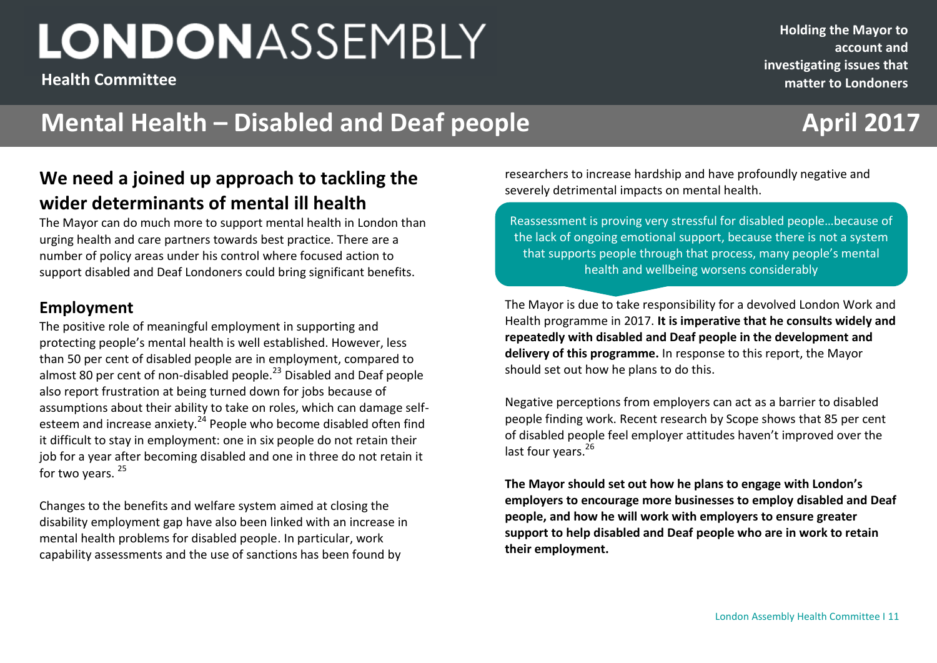**Health Committee**

#### **Holding the Mayor to account and investigating issues that matter to Londoners**

## **Mental Health – Disabled and Deaf people <b>April 2017**

### **We need a joined up approach to tackling the wider determinants of mental ill health**

The Mayor can do much more to support mental health in London than urging health and care partners towards best practice. There are a number of policy areas under his control where focused action to support disabled and Deaf Londoners could bring significant benefits.

### **Employment**

The positive role of meaningful employment in supporting and protecting people's mental health is well established. However, less than 50 per cent of disabled people are in employment, compared to almost 80 per cent of non-disabled people.<sup>23</sup> Disabled and Deaf people also report frustration at being turned down for jobs because of assumptions about their ability to take on roles, which can damage selfesteem and increase anxiety.<sup>24</sup> People who become disabled often find it difficult to stay in employment: one in six people do not retain their job for a year after becoming disabled and one in three do not retain it for two years.<sup>25</sup>

Changes to the benefits and welfare system aimed at closing the disability employment gap have also been linked with an increase in mental health problems for disabled people. In particular, work capability assessments and the use of sanctions has been found by

**December 2016 220162016 220162016** researchers to increase hardship and have profoundly negative and severely detrimental impacts on mental health.

> Reassessment is proving very stressful for disabled people…because of the lack of ongoing emotional support, because there is not a system that supports people through that process, many people's mental health and wellbeing worsens considerably

The Mayor is due to take responsibility for a devolved London Work and Health programme in 2017. **It is imperative that he consults widely and repeatedly with disabled and Deaf people in the development and delivery of this programme.** In response to this report, the Mayor should set out how he plans to do this.

Negative perceptions from employers can act as a barrier to disabled people finding work. Recent research by Scope shows that 85 per cent of disabled people feel employer attitudes haven't improved over the last four years.<sup>26</sup>

**The Mayor should set out how he plans to engage with London's employers to encourage more businesses to employ disabled and Deaf people, and how he will work with employers to ensure greater support to help disabled and Deaf people who are in work to retain their employment.**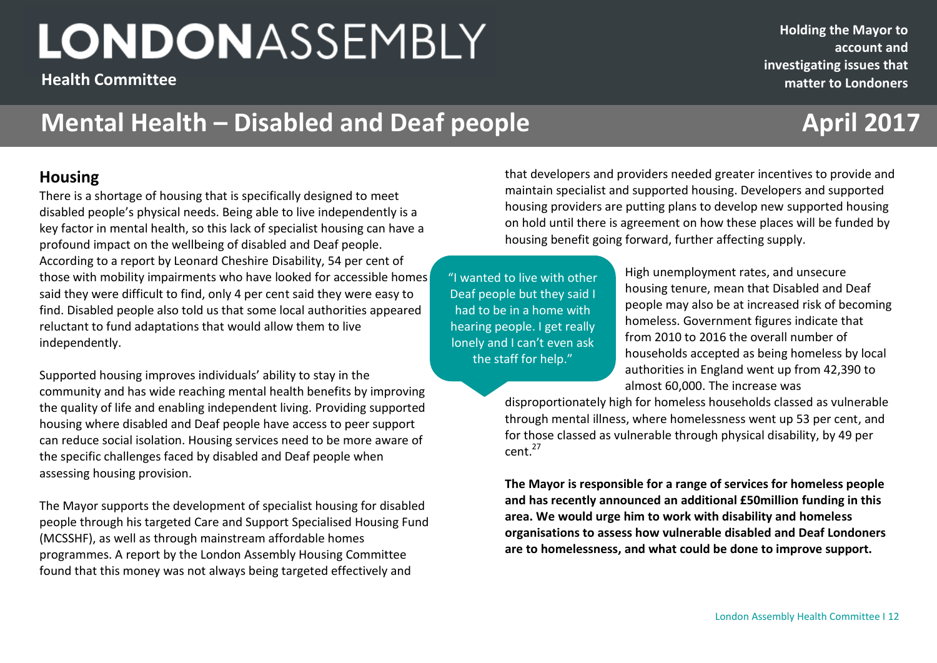**Health Committee**

**Holding the Mayor to account and investigating issues that matter to Londoners**

## **Mental Health – Disabled and Deaf people <b>April 2017**

#### **Housing**

There is a shortage of housing that is specifically designed to meet disabled people's physical needs. Being able to live independently is a key factor in mental health, so this lack of specialist housing can have a profound impact on the wellbeing of disabled and Deaf people. According to a report by Leonard Cheshire Disability, 54 per cent of those with mobility impairments who have looked for accessible homes said they were difficult to find, only 4 per cent said they were easy to find. Disabled people also told us that some local authorities appeared reluctant to fund adaptations that would allow them to live independently.

Supported housing improves individuals' ability to stay in the community and has wide reaching mental health benefits by improving the quality of life and enabling independent living. Providing supported housing where disabled and Deaf people have access to peer support can reduce social isolation. Housing services need to be more aware of the specific challenges faced by disabled and Deaf people when assessing housing provision.

The Mayor supports the development of specialist housing for disabled people through his targeted Care and Support Specialised Housing Fund (MCSSHF), as well as through mainstream affordable homes programmes. A report by the London Assembly Housing Committee found that this money was not always being targeted effectively and

**December 2016** that developers and providers needed greater incentives to provide and maintain specialist and supported housing. Developers and supported housing providers are putting plans to develop new supported housing on hold until there is agreement on how these places will be funded by housing benefit going forward, further affecting supply.

"I wanted to live with other Deaf people but they said I had to be in a home with hearing people. I get really lonely and I can't even ask the staff for help."

High unemployment rates, and unsecure housing tenure, mean that Disabled and Deaf people may also be at increased risk of becoming homeless. Government figures indicate that from 2010 to 2016 the overall number of households accepted as being homeless by local authorities in England went up from 42,390 to almost 60,000. The increase was

disproportionately high for homeless households classed as vulnerable through mental illness, where homelessness went up 53 per cent, and for those classed as vulnerable through physical disability, by 49 per cent.<sup>27</sup>

**The Mayor is responsible for a range of services for homeless people and has recently announced an additional £50million funding in this area. We would urge him to work with disability and homeless organisations to assess how vulnerable disabled and Deaf Londoners are to homelessness, and what could be done to improve support.**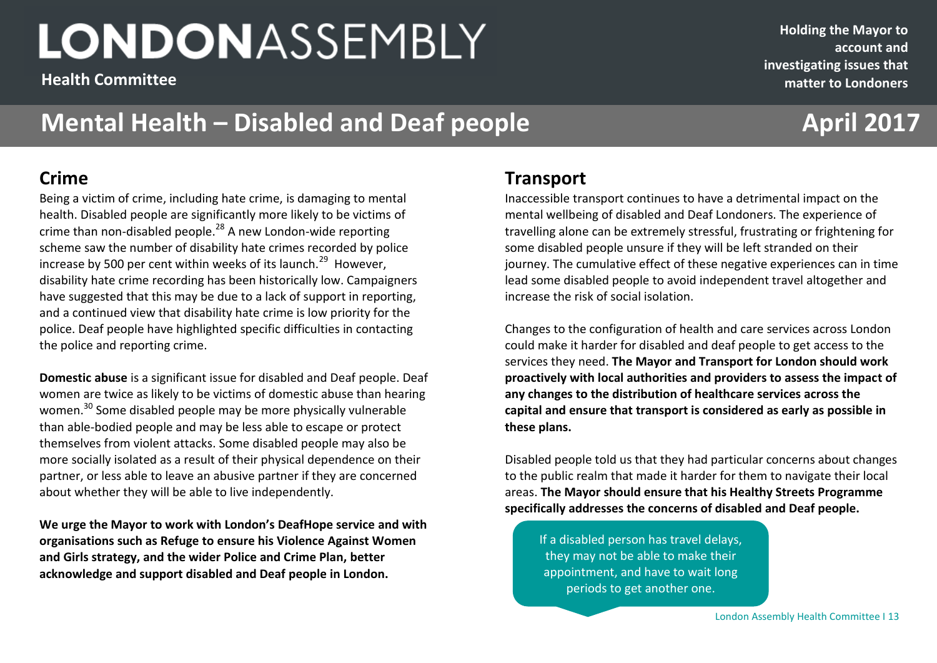**Health Committee**

## **Mental Health – Disabled and Deaf people <b>April 2017**

### **Crime**

Being a victim of crime, including hate crime, is damaging to mental health. Disabled people are significantly more likely to be victims of crime than non-disabled people.<sup>28</sup> A new London-wide reporting scheme saw the number of disability hate crimes recorded by police increase by 500 per cent within weeks of its launch.<sup>29</sup> However, disability hate crime recording has been historically low. Campaigners have suggested that this may be due to a lack of support in reporting, and a continued view that disability hate crime is low priority for the police. Deaf people have highlighted specific difficulties in contacting the police and reporting crime.

**Domestic abuse** is a significant issue for disabled and Deaf people. Deaf women are twice as likely to be victims of domestic abuse than hearing women.<sup>30</sup> Some disabled people may be more physically vulnerable than able-bodied people and may be less able to escape or protect themselves from violent attacks. Some disabled people may also be more socially isolated as a result of their physical dependence on their partner, or less able to leave an abusive partner if they are concerned about whether they will be able to live independently.

**We urge the Mayor to work with London's DeafHope service and with organisations such as Refuge to ensure his Violence Against Women and Girls strategy, and the wider Police and Crime Plan, better acknowledge and support disabled and Deaf people in London.** 

### **December 2016 2201620162016 Transport**

Inaccessible transport continues to have a detrimental impact on the mental wellbeing of disabled and Deaf Londoners. The experience of travelling alone can be extremely stressful, frustrating or frightening for some disabled people unsure if they will be left stranded on their journey. The cumulative effect of these negative experiences can in time lead some disabled people to avoid independent travel altogether and increase the risk of social isolation.

Changes to the configuration of health and care services across London could make it harder for disabled and deaf people to get access to the services they need. **The Mayor and Transport for London should work proactively with local authorities and providers to assess the impact of any changes to the distribution of healthcare services across the capital and ensure that transport is considered as early as possible in these plans.** 

Disabled people told us that they had particular concerns about changes to the public realm that made it harder for them to navigate their local areas. **The Mayor should ensure that his Healthy Streets Programme specifically addresses the concerns of disabled and Deaf people.** 

If a disabled person has travel delays, they may not be able to make their appointment, and have to wait long periods to get another one.

London Assembly Health Committee I 13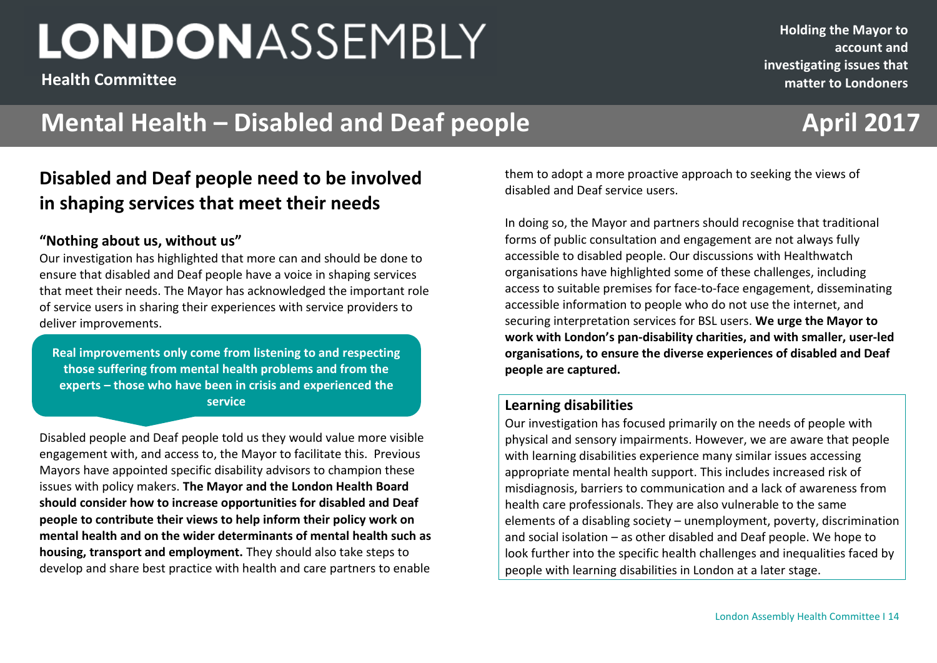**Health Committee**

#### **Holding the Mayor to account and investigating issues that matter to Londoners**

## **Mental Health – Disabled and Deaf people <b>April 2017**

### **Disabled and Deaf people need to be involved in shaping services that meet their needs**

#### **"Nothing about us, without us"**

Our investigation has highlighted that more can and should be done to ensure that disabled and Deaf people have a voice in shaping services that meet their needs. The Mayor has acknowledged the important role of service users in sharing their experiences with service providers to deliver improvements.

**Real improvements only come from listening to and respecting those suffering from mental health problems and from the experts – those who have been in crisis and experienced the service**

Disabled people and Deaf people told us they would value more visible engagement with, and access to, the Mayor to facilitate this. Previous Mayors have appointed specific disability advisors to champion these issues with policy makers. **The Mayor and the London Health Board should consider how to increase opportunities for disabled and Deaf people to contribute their views to help inform their policy work on mental health and on the wider determinants of mental health such as housing, transport and employment.** They should also take steps to develop and share best practice with health and care partners to enable

**December 2016**<br>**2 December 2016 2016 2016 2016 2016 2016 2016 2016** them to adopt a more proactive approach to seeking the views of disabled and Deaf service users.

> In doing so, the Mayor and partners should recognise that traditional forms of public consultation and engagement are not always fully accessible to disabled people. Our discussions with Healthwatch organisations have highlighted some of these challenges, including access to suitable premises for face-to-face engagement, disseminating accessible information to people who do not use the internet, and securing interpretation services for BSL users. **We urge the Mayor to work with London's pan-disability charities, and with smaller, user-led organisations, to ensure the diverse experiences of disabled and Deaf people are captured.**

#### **Learning disabilities**

Our investigation has focused primarily on the needs of people with physical and sensory impairments. However, we are aware that people with learning disabilities experience many similar issues accessing appropriate mental health support. This includes increased risk of misdiagnosis, barriers to communication and a lack of awareness from health care professionals. They are also vulnerable to the same elements of a disabling society – unemployment, poverty, discrimination and social isolation – as other disabled and Deaf people. We hope to look further into the specific health challenges and inequalities faced by people with learning disabilities in London at a later stage.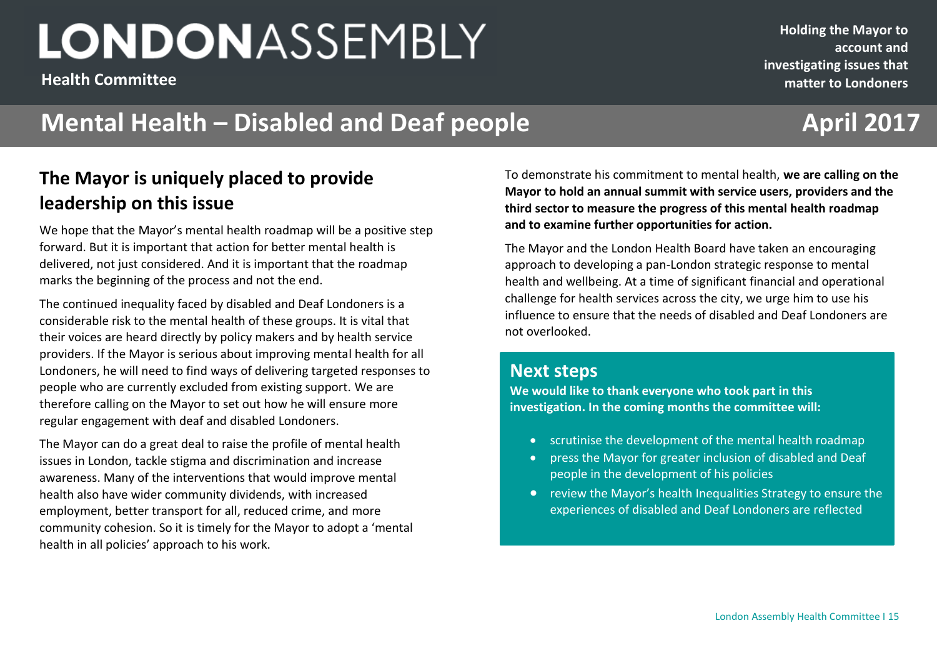**Health Committee**

**Holding the Mayor to account and investigating issues that matter to Londoners**

## **Mental Health – Disabled and Deaf people <b>April 2017**

### **The Mayor is uniquely placed to provide leadership on this issue**

We hope that the Mayor's mental health roadmap will be a positive step forward. But it is important that action for better mental health is delivered, not just considered. And it is important that the roadmap marks the beginning of the process and not the end.

The continued inequality faced by disabled and Deaf Londoners is a considerable risk to the mental health of these groups. It is vital that their voices are heard directly by policy makers and by health service providers. If the Mayor is serious about improving mental health for all Londoners, he will need to find ways of delivering targeted responses to people who are currently excluded from existing support. We are therefore calling on the Mayor to set out how he will ensure more regular engagement with deaf and disabled Londoners.

The Mayor can do a great deal to raise the profile of mental health issues in London, tackle stigma and discrimination and increase awareness. Many of the interventions that would improve mental health also have wider community dividends, with increased employment, better transport for all, reduced crime, and more community cohesion. So it is timely for the Mayor to adopt a 'mental health in all policies' approach to his work.

**December 2016 2201620162016** To demonstrate his commitment to mental health, **we are calling on the Mayor to hold an annual summit with service users, providers and the third sector to measure the progress of this mental health roadmap and to examine further opportunities for action.** 

> The Mayor and the London Health Board have taken an encouraging approach to developing a pan-London strategic response to mental health and wellbeing. At a time of significant financial and operational challenge for health services across the city, we urge him to use his influence to ensure that the needs of disabled and Deaf Londoners are not overlooked.

### **Next steps**

**We would like to thank everyone who took part in this investigation. In the coming months the committee will:**

- scrutinise the development of the mental health roadmap
- press the Mayor for greater inclusion of disabled and Deaf people in the development of his policies
- review the Mayor's health Inequalities Strategy to ensure the experiences of disabled and Deaf Londoners are reflected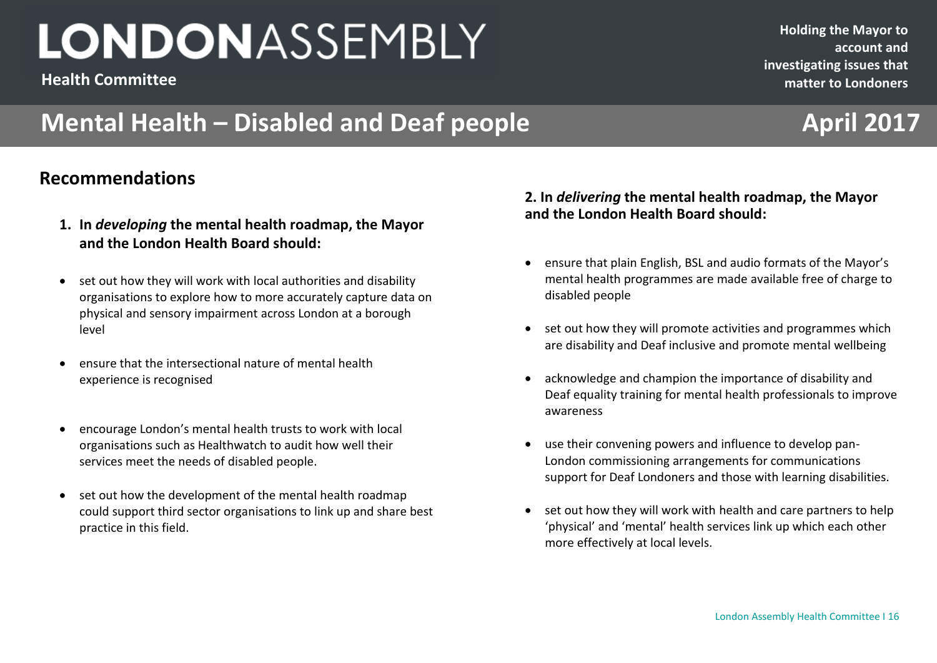**Health Committee**

## **Mental Health – Disabled and Deaf people <b>April 2017**

### **Recommendations**

- **1. In** *developing* **the mental health roadmap, the Mayor and the London Health Board should:**
- set out how they will work with local authorities and disability organisations to explore how to more accurately capture data on physical and sensory impairment across London at a borough level
- ensure that the intersectional nature of mental health experience is recognised
- encourage London's mental health trusts to work with local organisations such as Healthwatch to audit how well their services meet the needs of disabled people.
- set out how the development of the mental health roadmap could support third sector organisations to link up and share best practice in this field.

#### **2. 2. In** *delivering* **the mental health roadmap, the Mayor and the London Health Board should:**

**December 2016 2201620162016**

- ensure that plain English, BSL and audio formats of the Mayor's mental health programmes are made available free of charge to disabled people
- set out how they will promote activities and programmes which are disability and Deaf inclusive and promote mental wellbeing
- acknowledge and champion the importance of disability and Deaf equality training for mental health professionals to improve awareness
- use their convening powers and influence to develop pan-London commissioning arrangements for communications support for Deaf Londoners and those with learning disabilities.
- set out how they will work with health and care partners to help 'physical' and 'mental' health services link up which each other more effectively at local levels.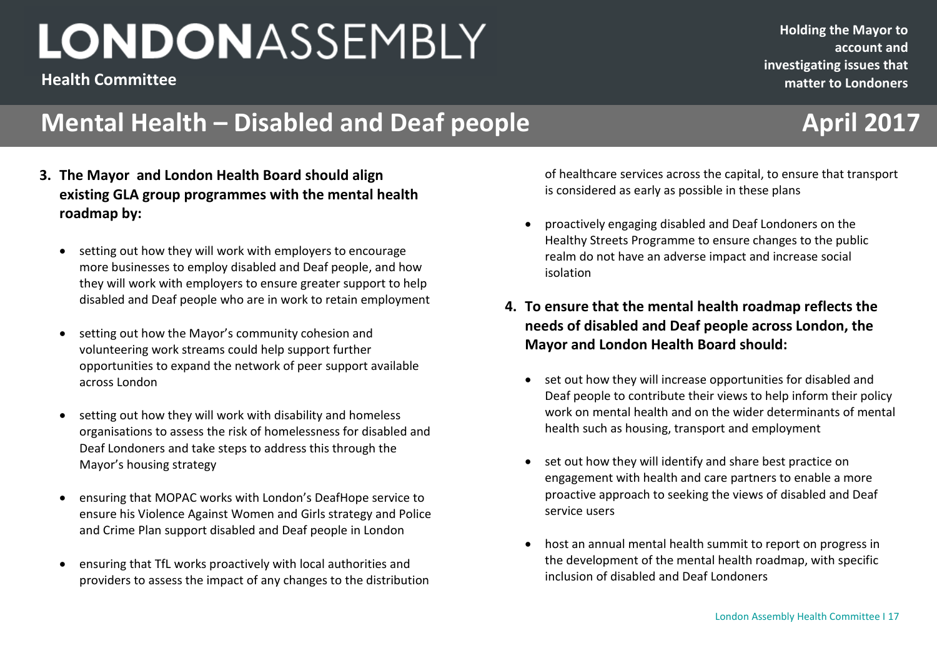**Health Committee**

## **Mental Health – Disabled and Deaf people <b>April 2017**

- **3. The Mayor and London Health Board should align existing GLA group programmes with the mental health roadmap by:**
	- setting out how they will work with employers to encourage more businesses to employ disabled and Deaf people, and how they will work with employers to ensure greater support to help disabled and Deaf people who are in work to retain employment
	- setting out how the Mayor's community cohesion and volunteering work streams could help support further opportunities to expand the network of peer support available across London
	- setting out how they will work with disability and homeless organisations to assess the risk of homelessness for disabled and Deaf Londoners and take steps to address this through the Mayor's housing strategy
	- ensuring that MOPAC works with London's DeafHope service to ensure his Violence Against Women and Girls strategy and Police and Crime Plan support disabled and Deaf people in London
	- ensuring that TfL works proactively with local authorities and providers to assess the impact of any changes to the distribution

**December 2016 2016 22016 22016 22016 22016 22016 22016 22016 22016 22016 22016 22016 22016 22016 22016 22016 22016 22016 22016 22016 22016 22016 22016 22016 22016 22016** of healthcare services across the capital, to ensure that transport is considered as early as possible in these plans

- proactively engaging disabled and Deaf Londoners on the Healthy Streets Programme to ensure changes to the public realm do not have an adverse impact and increase social isolation
- **4. To ensure that the mental health roadmap reflects the needs of disabled and Deaf people across London, the Mayor and London Health Board should:**
	- set out how they will increase opportunities for disabled and Deaf people to contribute their views to help inform their policy work on mental health and on the wider determinants of mental health such as housing, transport and employment
	- set out how they will identify and share best practice on engagement with health and care partners to enable a more proactive approach to seeking the views of disabled and Deaf service users
	- host an annual mental health summit to report on progress in the development of the mental health roadmap, with specific inclusion of disabled and Deaf Londoners